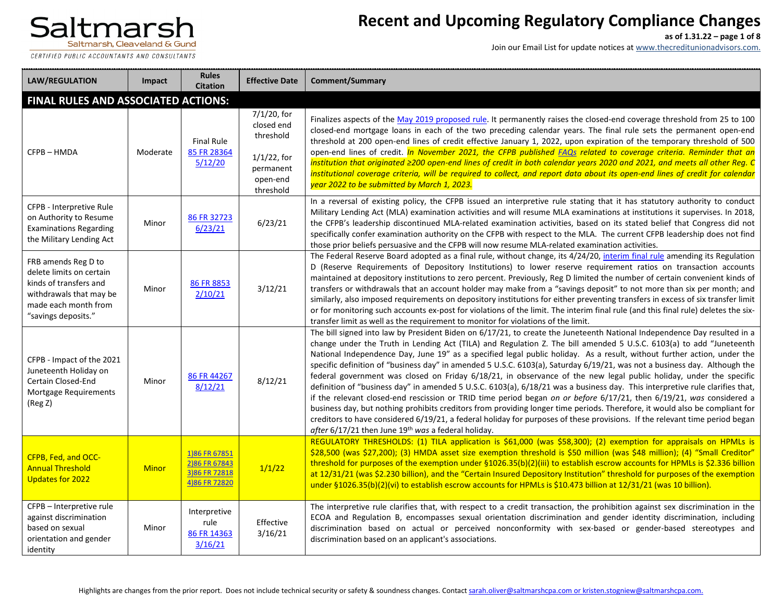CERTIFIED PUBLIC ACCOUNTANTS AND CONSULTANTS

### **Recent and Upcoming Regulatory Compliance Changes**

**as of 1.31.22 – page 1 of 8**

| <b>LAW/REGULATION</b>                                                                                                                               | Impact       | <b>Rules</b><br><b>Citation</b>                                  | <b>Effective Date</b>                                                                          | Comment/Summary                                                                                                                                                                                                                                                                                                                                                                                                                                                                                                                                                                                                                                                                                                                                                                                                                                                                                                                                                                                                                                                                                                                                                                                            |
|-----------------------------------------------------------------------------------------------------------------------------------------------------|--------------|------------------------------------------------------------------|------------------------------------------------------------------------------------------------|------------------------------------------------------------------------------------------------------------------------------------------------------------------------------------------------------------------------------------------------------------------------------------------------------------------------------------------------------------------------------------------------------------------------------------------------------------------------------------------------------------------------------------------------------------------------------------------------------------------------------------------------------------------------------------------------------------------------------------------------------------------------------------------------------------------------------------------------------------------------------------------------------------------------------------------------------------------------------------------------------------------------------------------------------------------------------------------------------------------------------------------------------------------------------------------------------------|
| FINAL RULES AND ASSOCIATED ACTIONS:                                                                                                                 |              |                                                                  |                                                                                                |                                                                                                                                                                                                                                                                                                                                                                                                                                                                                                                                                                                                                                                                                                                                                                                                                                                                                                                                                                                                                                                                                                                                                                                                            |
| CFPB-HMDA                                                                                                                                           | Moderate     | <b>Final Rule</b><br>85 FR 28364<br>5/12/20                      | 7/1/20, for<br>closed end<br>threshold<br>$1/1/22$ , for<br>permanent<br>open-end<br>threshold | Finalizes aspects of the May 2019 proposed rule. It permanently raises the closed-end coverage threshold from 25 to 100<br>closed-end mortgage loans in each of the two preceding calendar years. The final rule sets the permanent open-end<br>threshold at 200 open-end lines of credit effective January 1, 2022, upon expiration of the temporary threshold of 500<br>open-end lines of credit. <i>In November 2021, the CFPB published FAQs related to coverage criteria. Reminder that an</i><br>institution that originated ≥200 open-end lines of credit in both calendar years 2020 and 2021, and meets all other Reg. C<br>institutional coverage criteria, will be required to collect, and report data about its open-end lines of credit for calendar<br>year 2022 to be submitted by March 1, 2023.                                                                                                                                                                                                                                                                                                                                                                                          |
| CFPB - Interpretive Rule<br>on Authority to Resume<br><b>Examinations Regarding</b><br>the Military Lending Act                                     | Minor        | 86 FR 32723<br>6/23/21                                           | 6/23/21                                                                                        | In a reversal of existing policy, the CFPB issued an interpretive rule stating that it has statutory authority to conduct<br>Military Lending Act (MLA) examination activities and will resume MLA examinations at institutions it supervises. In 2018,<br>the CFPB's leadership discontinued MLA-related examination activities, based on its stated belief that Congress did not<br>specifically confer examination authority on the CFPB with respect to the MLA. The current CFPB leadership does not find<br>those prior beliefs persuasive and the CFPB will now resume MLA-related examination activities.                                                                                                                                                                                                                                                                                                                                                                                                                                                                                                                                                                                          |
| FRB amends Reg D to<br>delete limits on certain<br>kinds of transfers and<br>withdrawals that may be<br>made each month from<br>"savings deposits." | Minor        | 86 FR 8853<br>2/10/21                                            | 3/12/21                                                                                        | The Federal Reserve Board adopted as a final rule, without change, its 4/24/20, interim final rule amending its Regulation<br>D (Reserve Requirements of Depository Institutions) to lower reserve requirement ratios on transaction accounts<br>maintained at depository institutions to zero percent. Previously, Reg D limited the number of certain convenient kinds of<br>transfers or withdrawals that an account holder may make from a "savings deposit" to not more than six per month; and<br>similarly, also imposed requirements on depository institutions for either preventing transfers in excess of six transfer limit<br>or for monitoring such accounts ex-post for violations of the limit. The interim final rule (and this final rule) deletes the six-<br>transfer limit as well as the requirement to monitor for violations of the limit.                                                                                                                                                                                                                                                                                                                                         |
| CFPB - Impact of the 2021<br>Juneteenth Holiday on<br>Certain Closed-End<br><b>Mortgage Requirements</b><br>(Reg Z)                                 | Minor        | 86 FR 44267<br>8/12/21                                           | 8/12/21                                                                                        | The bill signed into law by President Biden on 6/17/21, to create the Juneteenth National Independence Day resulted in a<br>change under the Truth in Lending Act (TILA) and Regulation Z. The bill amended 5 U.S.C. 6103(a) to add "Juneteenth<br>National Independence Day, June 19" as a specified legal public holiday. As a result, without further action, under the<br>specific definition of "business day" in amended 5 U.S.C. 6103(a), Saturday 6/19/21, was not a business day. Although the<br>federal government was closed on Friday 6/18/21, in observance of the new legal public holiday, under the specific<br>definition of "business day" in amended 5 U.S.C. 6103(a), 6/18/21 was a business day. This interpretive rule clarifies that,<br>if the relevant closed-end rescission or TRID time period began on or before 6/17/21, then 6/19/21, was considered a<br>business day, but nothing prohibits creditors from providing longer time periods. Therefore, it would also be compliant for<br>creditors to have considered 6/19/21, a federal holiday for purposes of these provisions. If the relevant time period began<br>after 6/17/21 then June 19th was a federal holiday. |
| CFPB, Fed, and OCC-<br><b>Annual Threshold</b><br><b>Updates for 2022</b>                                                                           | <b>Minor</b> | 1)86 FR 67851<br>2)86 FR 67843<br>3)86 FR 72818<br>4)86 FR 72820 | 1/1/22                                                                                         | REGULATORY THRESHOLDS: (1) TILA application is \$61,000 (was \$58,300); (2) exemption for appraisals on HPMLs is<br>\$28,500 (was \$27,200); (3) HMDA asset size exemption threshold is \$50 million (was \$48 million); (4) "Small Creditor"<br>threshold for purposes of the exemption under §1026.35(b)(2)(iii) to establish escrow accounts for HPMLs is \$2.336 billion<br>at 12/31/21 (was \$2.230 billion), and the "Certain Insured Depository Institution" threshold for purposes of the exemption<br>under $\S1026.35(b)(2)(vi)$ to establish escrow accounts for HPMLs is \$10.473 billion at 12/31/21 (was 10 billion).                                                                                                                                                                                                                                                                                                                                                                                                                                                                                                                                                                        |
| CFPB - Interpretive rule<br>against discrimination<br>based on sexual<br>orientation and gender<br>identity                                         | Minor        | Interpretive<br>rule<br>86 FR 14363<br>3/16/21                   | Effective<br>3/16/21                                                                           | The interpretive rule clarifies that, with respect to a credit transaction, the prohibition against sex discrimination in the<br>ECOA and Regulation B, encompasses sexual orientation discrimination and gender identity discrimination, including<br>discrimination based on actual or perceived nonconformity with sex-based or gender-based stereotypes and<br>discrimination based on an applicant's associations.                                                                                                                                                                                                                                                                                                                                                                                                                                                                                                                                                                                                                                                                                                                                                                                    |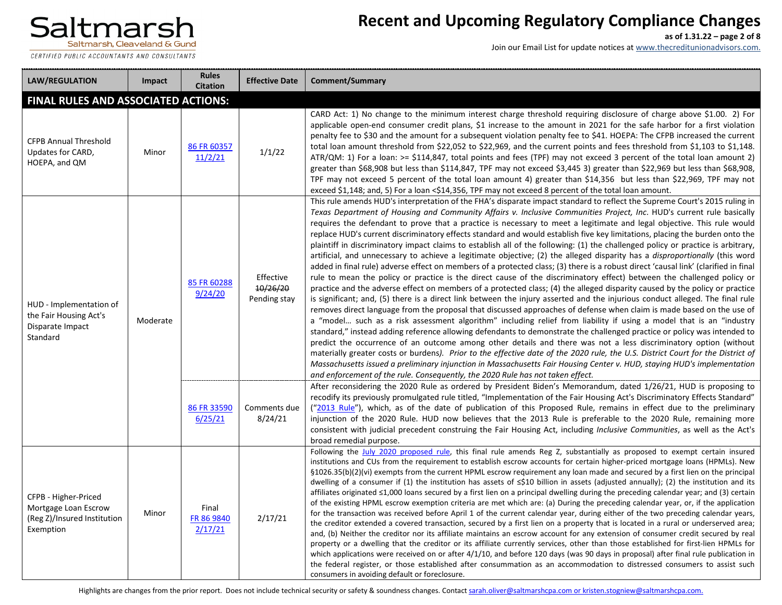CERTIFIED PUBLIC ACCOUNTANTS AND CONSULTANTS

# **Recent and Upcoming Regulatory Compliance Changes**

**as of 1.31.22 – page 2 of 8**

Join our Email List for update notices at www.thecreditunionadvisors.com.

| <b>LAW/REGULATION</b>                                                                    | Impact   | <b>Rules</b><br><b>Citation</b> | <b>Effective Date</b>                 | <b>Comment/Summary</b>                                                                                                                                                                                                                                                                                                                                                                                                                                                                                                                                                                                                                                                                                                                                                                                                                                                                                                                                                                                                                                                                                                                                                                                                                                                                                                                                                                                                                                                                                                                                                                                                                                                                                                                                                                                                                                                                                                                                                                                                                                                                                                                                                  |
|------------------------------------------------------------------------------------------|----------|---------------------------------|---------------------------------------|-------------------------------------------------------------------------------------------------------------------------------------------------------------------------------------------------------------------------------------------------------------------------------------------------------------------------------------------------------------------------------------------------------------------------------------------------------------------------------------------------------------------------------------------------------------------------------------------------------------------------------------------------------------------------------------------------------------------------------------------------------------------------------------------------------------------------------------------------------------------------------------------------------------------------------------------------------------------------------------------------------------------------------------------------------------------------------------------------------------------------------------------------------------------------------------------------------------------------------------------------------------------------------------------------------------------------------------------------------------------------------------------------------------------------------------------------------------------------------------------------------------------------------------------------------------------------------------------------------------------------------------------------------------------------------------------------------------------------------------------------------------------------------------------------------------------------------------------------------------------------------------------------------------------------------------------------------------------------------------------------------------------------------------------------------------------------------------------------------------------------------------------------------------------------|
| <b>FINAL RULES AND ASSOCIATED ACTIONS:</b>                                               |          |                                 |                                       |                                                                                                                                                                                                                                                                                                                                                                                                                                                                                                                                                                                                                                                                                                                                                                                                                                                                                                                                                                                                                                                                                                                                                                                                                                                                                                                                                                                                                                                                                                                                                                                                                                                                                                                                                                                                                                                                                                                                                                                                                                                                                                                                                                         |
| <b>CFPB Annual Threshold</b><br>Updates for CARD,<br>HOEPA, and QM                       | Minor    | 86 FR 60357<br>11/2/21          | 1/1/22                                | CARD Act: 1) No change to the minimum interest charge threshold requiring disclosure of charge above \$1.00. 2) For<br>applicable open-end consumer credit plans, \$1 increase to the amount in 2021 for the safe harbor for a first violation<br>penalty fee to \$30 and the amount for a subsequent violation penalty fee to \$41. HOEPA: The CFPB increased the current<br>total loan amount threshold from \$22,052 to \$22,969, and the current points and fees threshold from \$1,103 to \$1,148.<br>ATR/QM: 1) For a loan: >= \$114,847, total points and fees (TPF) may not exceed 3 percent of the total loan amount 2)<br>greater than \$68,908 but less than \$114,847, TPF may not exceed \$3,445 3) greater than \$22,969 but less than \$68,908,<br>TPF may not exceed 5 percent of the total loan amount 4) greater than \$14,356 but less than \$22,969, TPF may not<br>exceed \$1,148; and, 5) For a loan <\$14,356, TPF may not exceed 8 percent of the total loan amount.                                                                                                                                                                                                                                                                                                                                                                                                                                                                                                                                                                                                                                                                                                                                                                                                                                                                                                                                                                                                                                                                                                                                                                            |
| HUD - Implementation of<br>the Fair Housing Act's<br>Disparate Impact<br>Standard        | Moderate | 85 FR 60288<br>9/24/20          | Effective<br>10/26/20<br>Pending stay | This rule amends HUD's interpretation of the FHA's disparate impact standard to reflect the Supreme Court's 2015 ruling in<br>Texas Department of Housing and Community Affairs v. Inclusive Communities Project, Inc. HUD's current rule basically<br>requires the defendant to prove that a practice is necessary to meet a legitimate and legal objective. This rule would<br>replace HUD's current discriminatory effects standard and would establish five key limitations, placing the burden onto the<br>plaintiff in discriminatory impact claims to establish all of the following: (1) the challenged policy or practice is arbitrary,<br>artificial, and unnecessary to achieve a legitimate objective; (2) the alleged disparity has a <i>disproportionally</i> (this word<br>added in final rule) adverse effect on members of a protected class; (3) there is a robust direct 'causal link' (clarified in final<br>rule to mean the policy or practice is the direct cause of the discriminatory effect) between the challenged policy or<br>practice and the adverse effect on members of a protected class; (4) the alleged disparity caused by the policy or practice<br>is significant; and, (5) there is a direct link between the injury asserted and the injurious conduct alleged. The final rule<br>removes direct language from the proposal that discussed approaches of defense when claim is made based on the use of<br>a "model such as a risk assessment algorithm" including relief from liability if using a model that is an "industry<br>standard," instead adding reference allowing defendants to demonstrate the challenged practice or policy was intended to<br>predict the occurrence of an outcome among other details and there was not a less discriminatory option (without<br>materially greater costs or burdens). Prior to the effective date of the 2020 rule, the U.S. District Court for the District of<br>Massachusetts issued a preliminary injunction in Massachusetts Fair Housing Center v. HUD, staying HUD's implementation<br>and enforcement of the rule. Consequently, the 2020 Rule has not taken effect. |
|                                                                                          |          | 86 FR 33590<br>6/25/21          | Comments due<br>8/24/21               | After reconsidering the 2020 Rule as ordered by President Biden's Memorandum, dated 1/26/21, HUD is proposing to<br>recodify its previously promulgated rule titled, "Implementation of the Fair Housing Act's Discriminatory Effects Standard"<br>("2013 Rule"), which, as of the date of publication of this Proposed Rule, remains in effect due to the preliminary<br>injunction of the 2020 Rule. HUD now believes that the 2013 Rule is preferable to the 2020 Rule, remaining more<br>consistent with judicial precedent construing the Fair Housing Act, including Inclusive Communities, as well as the Act's<br>broad remedial purpose.                                                                                                                                                                                                                                                                                                                                                                                                                                                                                                                                                                                                                                                                                                                                                                                                                                                                                                                                                                                                                                                                                                                                                                                                                                                                                                                                                                                                                                                                                                                       |
| CFPB - Higher-Priced<br>Mortgage Loan Escrow<br>(Reg Z)/Insured Institution<br>Exemption | Minor    | Final<br>FR 86 9840<br>2/17/21  | 2/17/21                               | Following the July 2020 proposed rule, this final rule amends Reg Z, substantially as proposed to exempt certain insured<br>institutions and CUs from the requirement to establish escrow accounts for certain higher-priced mortgage loans (HPMLs). New<br>§1026.35(b)(2)(vi) exempts from the current HPML escrow requirement any loan made and secured by a first lien on the principal<br>dwelling of a consumer if (1) the institution has assets of $\leq$ \$10 billion in assets (adjusted annually); (2) the institution and its<br>affiliates originated $\leq 1,000$ loans secured by a first lien on a principal dwelling during the preceding calendar year; and (3) certain<br>of the existing HPML escrow exemption criteria are met which are: (a) During the preceding calendar year, or, if the application<br>for the transaction was received before April 1 of the current calendar year, during either of the two preceding calendar years,<br>the creditor extended a covered transaction, secured by a first lien on a property that is located in a rural or underserved area;<br>and, (b) Neither the creditor nor its affiliate maintains an escrow account for any extension of consumer credit secured by real<br>property or a dwelling that the creditor or its affiliate currently services, other than those established for first-lien HPMLs for<br>which applications were received on or after $4/1/10$ , and before 120 days (was 90 days in proposal) after final rule publication in<br>the federal register, or those established after consummation as an accommodation to distressed consumers to assist such<br>consumers in avoiding default or foreclosure.                                                                                                                                                                                                                                                                                                                                                                                                                                                                 |

Highlights are changes from the prior report. Does not include technical security or safety & soundness changes. Contac[t sarah.oliver@saltmarshcpa.com](mailto:sarah.oliver@saltmarshcpa.com) or [kristen.stogniew@saltmarshcpa.com.](mailto:kristen.stogniew@saltmarshcpa.com)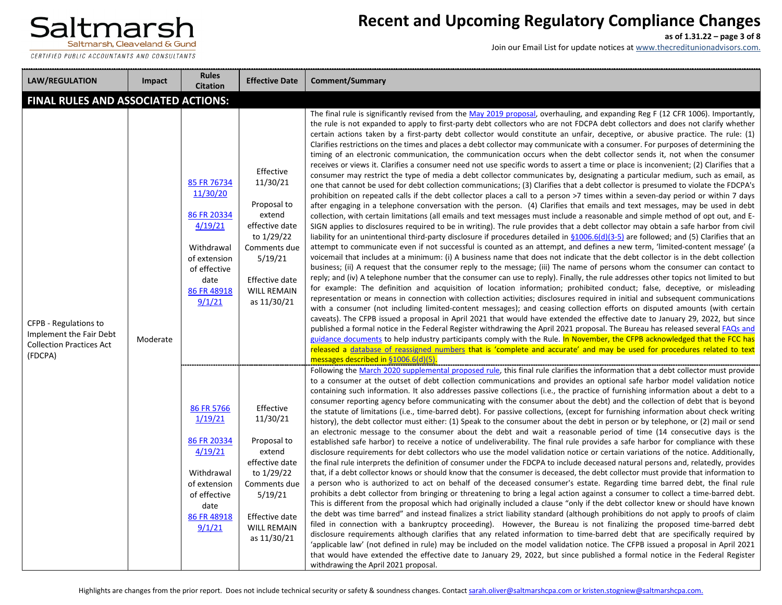

CERTIFIED PUBLIC ACCOUNTANTS AND CONSULTANTS

# **Recent and Upcoming Regulatory Compliance Changes**

**as of 1.31.22 – page 3 of 8**

| <b>LAW/REGULATION</b>                                                                          | Impact   | <b>Rules</b><br><b>Citation</b>                                                                                                  | <b>Effective Date</b>                                                                                                                                            | <b>Comment/Summary</b>                                                                                                                                                                                                                                                                                                                                                                                                                                                                                                                                                                                                                                                                                                                                                                                                                                                                                                                                                                                                                                                                                                                                                                                                                                                                                                                                                                                                                                                                                                                                                                                                                                                                                                                                                                                                                                                                                                                                                                                                                                                                                                                                                                                                                                                                                                                                                                                                                                                                                                                                                                                                                                                                                                                                                                                                                                                                                                                                                                                                                                                                                                                                                                                                                                                                              |  |  |  |
|------------------------------------------------------------------------------------------------|----------|----------------------------------------------------------------------------------------------------------------------------------|------------------------------------------------------------------------------------------------------------------------------------------------------------------|-----------------------------------------------------------------------------------------------------------------------------------------------------------------------------------------------------------------------------------------------------------------------------------------------------------------------------------------------------------------------------------------------------------------------------------------------------------------------------------------------------------------------------------------------------------------------------------------------------------------------------------------------------------------------------------------------------------------------------------------------------------------------------------------------------------------------------------------------------------------------------------------------------------------------------------------------------------------------------------------------------------------------------------------------------------------------------------------------------------------------------------------------------------------------------------------------------------------------------------------------------------------------------------------------------------------------------------------------------------------------------------------------------------------------------------------------------------------------------------------------------------------------------------------------------------------------------------------------------------------------------------------------------------------------------------------------------------------------------------------------------------------------------------------------------------------------------------------------------------------------------------------------------------------------------------------------------------------------------------------------------------------------------------------------------------------------------------------------------------------------------------------------------------------------------------------------------------------------------------------------------------------------------------------------------------------------------------------------------------------------------------------------------------------------------------------------------------------------------------------------------------------------------------------------------------------------------------------------------------------------------------------------------------------------------------------------------------------------------------------------------------------------------------------------------------------------------------------------------------------------------------------------------------------------------------------------------------------------------------------------------------------------------------------------------------------------------------------------------------------------------------------------------------------------------------------------------------------------------------------------------------------------------------------------------|--|--|--|
| <b>FINAL RULES AND ASSOCIATED ACTIONS:</b>                                                     |          |                                                                                                                                  |                                                                                                                                                                  |                                                                                                                                                                                                                                                                                                                                                                                                                                                                                                                                                                                                                                                                                                                                                                                                                                                                                                                                                                                                                                                                                                                                                                                                                                                                                                                                                                                                                                                                                                                                                                                                                                                                                                                                                                                                                                                                                                                                                                                                                                                                                                                                                                                                                                                                                                                                                                                                                                                                                                                                                                                                                                                                                                                                                                                                                                                                                                                                                                                                                                                                                                                                                                                                                                                                                                     |  |  |  |
| CFPB - Regulations to<br>Implement the Fair Debt<br><b>Collection Practices Act</b><br>(FDCPA) | Moderate | 85 FR 76734<br>11/30/20<br>86 FR 20334<br>4/19/21<br>Withdrawal<br>of extension<br>of effective<br>date<br>86 FR 48918<br>9/1/21 | Effective<br>11/30/21<br>Proposal to<br>extend<br>effective date<br>to 1/29/22<br>Comments due<br>5/19/21<br>Effective date<br><b>WILL REMAIN</b><br>as 11/30/21 | The final rule is significantly revised from the May 2019 proposal, overhauling, and expanding Reg F (12 CFR 1006). Importantly,<br>the rule is not expanded to apply to first-party debt collectors who are not FDCPA debt collectors and does not clarify whether<br>certain actions taken by a first-party debt collector would constitute an unfair, deceptive, or abusive practice. The rule: (1)<br>Clarifies restrictions on the times and places a debt collector may communicate with a consumer. For purposes of determining the<br>timing of an electronic communication, the communication occurs when the debt collector sends it, not when the consumer<br>receives or views it. Clarifies a consumer need not use specific words to assert a time or place is inconvenient; (2) Clarifies that a<br>consumer may restrict the type of media a debt collector communicates by, designating a particular medium, such as email, as<br>one that cannot be used for debt collection communications; (3) Clarifies that a debt collector is presumed to violate the FDCPA's<br>prohibition on repeated calls if the debt collector places a call to a person >7 times within a seven-day period or within 7 days<br>after engaging in a telephone conversation with the person. (4) Clarifies that emails and text messages, may be used in debt<br>collection, with certain limitations (all emails and text messages must include a reasonable and simple method of opt out, and E-<br>SIGN applies to disclosures required to be in writing). The rule provides that a debt collector may obtain a safe harbor from civil<br>liability for an unintentional third-party disclosure if procedures detailed in $\S 1006.6(d)(3-5)$ are followed; and (5) Clarifies that an<br>attempt to communicate even if not successful is counted as an attempt, and defines a new term, 'limited-content message' (a<br>voicemail that includes at a minimum: (i) A business name that does not indicate that the debt collector is in the debt collection<br>business; (ii) A request that the consumer reply to the message; (iii) The name of persons whom the consumer can contact to<br>reply; and (iv) A telephone number that the consumer can use to reply). Finally, the rule addresses other topics not limited to but<br>for example: The definition and acquisition of location information; prohibited conduct; false, deceptive, or misleading<br>representation or means in connection with collection activities; disclosures required in initial and subsequent communications<br>with a consumer (not including limited-content messages); and ceasing collection efforts on disputed amounts (with certain<br>caveats). The CFPB issued a proposal in April 2021 that would have extended the effective date to January 29, 2022, but since<br>published a formal notice in the Federal Register withdrawing the April 2021 proposal. The Bureau has released several FAQs and<br>guidance documents to help industry participants comply with the Rule. In November, the CFPB acknowledged that the FCC has<br>released a database of reassigned numbers that is 'complete and accurate' and may be used for procedures related to text<br>messages described in §1006.6(d)(5) |  |  |  |
|                                                                                                |          | 86 FR 5766<br>1/19/21<br>86 FR 20334<br>4/19/21<br>Withdrawal<br>of extension<br>of effective<br>date<br>86 FR 48918<br>9/1/21   | Effective<br>11/30/21<br>Proposal to<br>extend<br>effective date<br>to 1/29/22<br>Comments due<br>5/19/21<br>Effective date<br><b>WILL REMAIN</b><br>as 11/30/21 | Following the March 2020 supplemental proposed rule, this final rule clarifies the information that a debt collector must provide<br>to a consumer at the outset of debt collection communications and provides an optional safe harbor model validation notice<br>containing such information. It also addresses passive collections (i.e., the practice of furnishing information about a debt to a<br>consumer reporting agency before communicating with the consumer about the debt) and the collection of debt that is beyond<br>the statute of limitations (i.e., time-barred debt). For passive collections, (except for furnishing information about check writing<br>history), the debt collector must either: (1) Speak to the consumer about the debt in person or by telephone, or (2) mail or send<br>an electronic message to the consumer about the debt and wait a reasonable period of time (14 consecutive days is the<br>established safe harbor) to receive a notice of undeliverability. The final rule provides a safe harbor for compliance with these<br>disclosure requirements for debt collectors who use the model validation notice or certain variations of the notice. Additionally,<br>the final rule interprets the definition of consumer under the FDCPA to include deceased natural persons and, relatedly, provides<br>that, if a debt collector knows or should know that the consumer is deceased, the debt collector must provide that information to<br>a person who is authorized to act on behalf of the deceased consumer's estate. Regarding time barred debt, the final rule<br>prohibits a debt collector from bringing or threatening to bring a legal action against a consumer to collect a time-barred debt.<br>This is different from the proposal which had originally included a clause "only if the debt collector knew or should have known<br>the debt was time barred" and instead finalizes a strict liability standard (although prohibitions do not apply to proofs of claim<br>filed in connection with a bankruptcy proceeding). However, the Bureau is not finalizing the proposed time-barred debt<br>disclosure requirements although clarifies that any related information to time-barred debt that are specifically required by<br>'applicable law' (not defined in rule) may be included on the model validation notice. The CFPB issued a proposal in April 2021<br>that would have extended the effective date to January 29, 2022, but since published a formal notice in the Federal Register<br>withdrawing the April 2021 proposal.                                                                                                                                                                                                                                                                                                                                                                                                                                                                                                                                                                                                                                                                                    |  |  |  |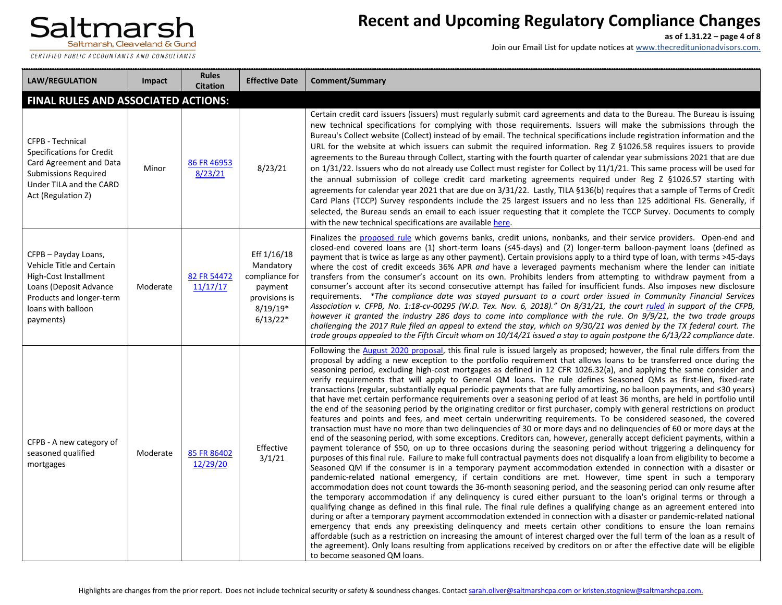CERTIFIED PUBLIC ACCOUNTANTS AND CONSULTANTS

### **Recent and Upcoming Regulatory Compliance Changes**

**as of 1.31.22 – page 4 of 8**

| <b>LAW/REGULATION</b>                                                                                                                                                      | Impact   | <b>Rules</b><br><b>Citation</b> | <b>Effective Date</b>                                                                              | Comment/Summary                                                                                                                                                                                                                                                                                                                                                                                                                                                                                                                                                                                                                                                                                                                                                                                                                                                                                                                                                                                                                                                                                                                                                                                                                                                                                                                                                                                                                                                                                                                                                                                                                                                                                                                                                                                                                                                                                                                                                                                                                                                                                                                                                                                                                                                                                                                                                                                                                                                                                                                                                                                                                                                               |
|----------------------------------------------------------------------------------------------------------------------------------------------------------------------------|----------|---------------------------------|----------------------------------------------------------------------------------------------------|-------------------------------------------------------------------------------------------------------------------------------------------------------------------------------------------------------------------------------------------------------------------------------------------------------------------------------------------------------------------------------------------------------------------------------------------------------------------------------------------------------------------------------------------------------------------------------------------------------------------------------------------------------------------------------------------------------------------------------------------------------------------------------------------------------------------------------------------------------------------------------------------------------------------------------------------------------------------------------------------------------------------------------------------------------------------------------------------------------------------------------------------------------------------------------------------------------------------------------------------------------------------------------------------------------------------------------------------------------------------------------------------------------------------------------------------------------------------------------------------------------------------------------------------------------------------------------------------------------------------------------------------------------------------------------------------------------------------------------------------------------------------------------------------------------------------------------------------------------------------------------------------------------------------------------------------------------------------------------------------------------------------------------------------------------------------------------------------------------------------------------------------------------------------------------------------------------------------------------------------------------------------------------------------------------------------------------------------------------------------------------------------------------------------------------------------------------------------------------------------------------------------------------------------------------------------------------------------------------------------------------------------------------------------------------|
| FINAL RULES AND ASSOCIATED ACTIONS:                                                                                                                                        |          |                                 |                                                                                                    |                                                                                                                                                                                                                                                                                                                                                                                                                                                                                                                                                                                                                                                                                                                                                                                                                                                                                                                                                                                                                                                                                                                                                                                                                                                                                                                                                                                                                                                                                                                                                                                                                                                                                                                                                                                                                                                                                                                                                                                                                                                                                                                                                                                                                                                                                                                                                                                                                                                                                                                                                                                                                                                                               |
| CFPB - Technical<br><b>Specifications for Credit</b><br>Card Agreement and Data<br><b>Submissions Required</b><br>Under TILA and the CARD<br>Act (Regulation Z)            | Minor    | 86 FR 46953<br>8/23/21          | 8/23/21                                                                                            | Certain credit card issuers (issuers) must regularly submit card agreements and data to the Bureau. The Bureau is issuing<br>new technical specifications for complying with those requirements. Issuers will make the submissions through the<br>Bureau's Collect website (Collect) instead of by email. The technical specifications include registration information and the<br>URL for the website at which issuers can submit the required information. Reg Z §1026.58 requires issuers to provide<br>agreements to the Bureau through Collect, starting with the fourth quarter of calendar year submissions 2021 that are due<br>on 1/31/22. Issuers who do not already use Collect must register for Collect by 11/1/21. This same process will be used for<br>the annual submission of college credit card marketing agreements required under Reg Z §1026.57 starting with<br>agreements for calendar year 2021 that are due on 3/31/22. Lastly, TILA §136(b) requires that a sample of Terms of Credit<br>Card Plans (TCCP) Survey respondents include the 25 largest issuers and no less than 125 additional FIs. Generally, if<br>selected, the Bureau sends an email to each issuer requesting that it complete the TCCP Survey. Documents to comply<br>with the new technical specifications are available here.                                                                                                                                                                                                                                                                                                                                                                                                                                                                                                                                                                                                                                                                                                                                                                                                                                                                                                                                                                                                                                                                                                                                                                                                                                                                                                                                               |
| CFPB - Payday Loans,<br><b>Vehicle Title and Certain</b><br>High-Cost Installment<br>Loans (Deposit Advance<br>Products and longer-term<br>loans with balloon<br>payments) | Moderate | 82 FR 54472<br>11/17/17         | Eff 1/16/18<br>Mandatory<br>compliance for<br>payment<br>provisions is<br>$8/19/19*$<br>$6/13/22*$ | Finalizes the proposed rule which governs banks, credit unions, nonbanks, and their service providers. Open-end and<br>closed-end covered loans are (1) short-term loans (≤45-days) and (2) longer-term balloon-payment loans (defined as<br>payment that is twice as large as any other payment). Certain provisions apply to a third type of loan, with terms >45-days<br>where the cost of credit exceeds 36% APR and have a leveraged payments mechanism where the lender can initiate<br>transfers from the consumer's account on its own. Prohibits lenders from attempting to withdraw payment from a<br>consumer's account after its second consecutive attempt has failed for insufficient funds. Also imposes new disclosure<br>requirements. *The compliance date was stayed pursuant to a court order issued in Community Financial Services<br>Association v. CFPB, No. 1:18-cv-00295 (W.D. Tex. Nov. 6, 2018)." On 8/31/21, the court ruled in support of the CFPB,<br>however it granted the industry 286 days to come into compliance with the rule. On 9/9/21, the two trade groups<br>challenging the 2017 Rule filed an appeal to extend the stay, which on 9/30/21 was denied by the TX federal court. The<br>trade groups appealed to the Fifth Circuit whom on 10/14/21 issued a stay to again postpone the 6/13/22 compliance date.                                                                                                                                                                                                                                                                                                                                                                                                                                                                                                                                                                                                                                                                                                                                                                                                                                                                                                                                                                                                                                                                                                                                                                                                                                                                                                                    |
| CFPB - A new category of<br>seasoned qualified<br>mortgages                                                                                                                | Moderate | 85 FR 86402<br>12/29/20         | Effective<br>3/1/21                                                                                | Following the August 2020 proposal, this final rule is issued largely as proposed; however, the final rule differs from the<br>proposal by adding a new exception to the portfolio requirement that allows loans to be transferred once during the<br>seasoning period, excluding high-cost mortgages as defined in 12 CFR 1026.32(a), and applying the same consider and<br>verify requirements that will apply to General QM loans. The rule defines Seasoned QMs as first-lien, fixed-rate<br>transactions (regular, substantially equal periodic payments that are fully amortizing, no balloon payments, and ≤30 years)<br>that have met certain performance requirements over a seasoning period of at least 36 months, are held in portfolio until<br>the end of the seasoning period by the originating creditor or first purchaser, comply with general restrictions on product<br>features and points and fees, and meet certain underwriting requirements. To be considered seasoned, the covered<br>transaction must have no more than two delinguencies of 30 or more days and no delinguencies of 60 or more days at the<br>end of the seasoning period, with some exceptions. Creditors can, however, generally accept deficient payments, within a<br>payment tolerance of \$50, on up to three occasions during the seasoning period without triggering a delinquency for<br>purposes of this final rule. Failure to make full contractual payments does not disqualify a loan from eligibility to become a<br>Seasoned QM if the consumer is in a temporary payment accommodation extended in connection with a disaster or<br>pandemic-related national emergency, if certain conditions are met. However, time spent in such a temporary<br>accommodation does not count towards the 36-month seasoning period, and the seasoning period can only resume after<br>the temporary accommodation if any delinguency is cured either pursuant to the loan's original terms or through a<br>qualifying change as defined in this final rule. The final rule defines a qualifying change as an agreement entered into<br>during or after a temporary payment accommodation extended in connection with a disaster or pandemic-related national<br>emergency that ends any preexisting delinguency and meets certain other conditions to ensure the loan remains<br>affordable (such as a restriction on increasing the amount of interest charged over the full term of the loan as a result of<br>the agreement). Only loans resulting from applications received by creditors on or after the effective date will be eligible<br>to become seasoned QM loans. |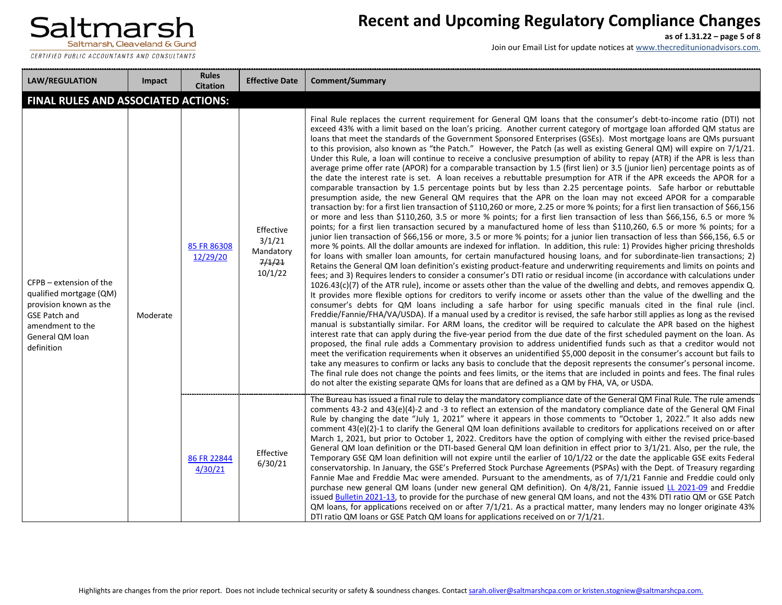

CERTIFIED PUBLIC ACCOUNTANTS AND CONSULTANTS

**STATE** 

# **Recent and Upcoming Regulatory Compliance Changes**

**as of 1.31.22 – page 5 of 8**

| <b>LAW/REGULATION</b>                                                                                                                                     | Impact   | <b>Rules</b><br><b>Citation</b> | <b>Effective Date</b>                                 | <b>Comment/Summary</b>                                                                                                                                                                                                                                                                                                                                                                                                                                                                                                                                                                                                                                                                                                                                                                                                                                                                                                                                                                                                                                                                                                                                                                                                                                                                                                                                                                                                                                                                                                                                                                                                                                                                                                                                                                                                                                                                                                                                                                                                                                                                                                                                                                                                                                                                                                                                                                                                                                                                                                                                                                                                                                                                                                                                                                                                                                                                                                                                                                                                                                                                                                                                                                                                                                                                                                                                                                                                                                                                                                                                                     |
|-----------------------------------------------------------------------------------------------------------------------------------------------------------|----------|---------------------------------|-------------------------------------------------------|----------------------------------------------------------------------------------------------------------------------------------------------------------------------------------------------------------------------------------------------------------------------------------------------------------------------------------------------------------------------------------------------------------------------------------------------------------------------------------------------------------------------------------------------------------------------------------------------------------------------------------------------------------------------------------------------------------------------------------------------------------------------------------------------------------------------------------------------------------------------------------------------------------------------------------------------------------------------------------------------------------------------------------------------------------------------------------------------------------------------------------------------------------------------------------------------------------------------------------------------------------------------------------------------------------------------------------------------------------------------------------------------------------------------------------------------------------------------------------------------------------------------------------------------------------------------------------------------------------------------------------------------------------------------------------------------------------------------------------------------------------------------------------------------------------------------------------------------------------------------------------------------------------------------------------------------------------------------------------------------------------------------------------------------------------------------------------------------------------------------------------------------------------------------------------------------------------------------------------------------------------------------------------------------------------------------------------------------------------------------------------------------------------------------------------------------------------------------------------------------------------------------------------------------------------------------------------------------------------------------------------------------------------------------------------------------------------------------------------------------------------------------------------------------------------------------------------------------------------------------------------------------------------------------------------------------------------------------------------------------------------------------------------------------------------------------------------------------------------------------------------------------------------------------------------------------------------------------------------------------------------------------------------------------------------------------------------------------------------------------------------------------------------------------------------------------------------------------------------------------------------------------------------------------------------------------------|
| <b>FINAL RULES AND ASSOCIATED ACTIONS:</b>                                                                                                                |          |                                 |                                                       |                                                                                                                                                                                                                                                                                                                                                                                                                                                                                                                                                                                                                                                                                                                                                                                                                                                                                                                                                                                                                                                                                                                                                                                                                                                                                                                                                                                                                                                                                                                                                                                                                                                                                                                                                                                                                                                                                                                                                                                                                                                                                                                                                                                                                                                                                                                                                                                                                                                                                                                                                                                                                                                                                                                                                                                                                                                                                                                                                                                                                                                                                                                                                                                                                                                                                                                                                                                                                                                                                                                                                                            |
| CFPB – extension of the<br>qualified mortgage (QM)<br>provision known as the<br><b>GSE Patch and</b><br>amendment to the<br>General QM loan<br>definition | Moderate | 85 FR 86308<br>12/29/20         | Effective<br>3/1/21<br>Mandatory<br>7/1/21<br>10/1/22 | Final Rule replaces the current requirement for General QM loans that the consumer's debt-to-income ratio (DTI) not<br>exceed 43% with a limit based on the loan's pricing. Another current category of mortgage loan afforded QM status are<br>loans that meet the standards of the Government Sponsored Enterprises (GSEs). Most mortgage loans are QMs pursuant<br>to this provision, also known as "the Patch." However, the Patch (as well as existing General QM) will expire on 7/1/21.<br>Under this Rule, a loan will continue to receive a conclusive presumption of ability to repay (ATR) if the APR is less than<br>average prime offer rate (APOR) for a comparable transaction by 1.5 (first lien) or 3.5 (junior lien) percentage points as of<br>the date the interest rate is set. A loan receives a rebuttable presumption for ATR if the APR exceeds the APOR for a<br>comparable transaction by 1.5 percentage points but by less than 2.25 percentage points. Safe harbor or rebuttable<br>presumption aside, the new General QM requires that the APR on the loan may not exceed APOR for a comparable<br>transaction by: for a first lien transaction of \$110,260 or more, 2.25 or more % points; for a first lien transaction of \$66,156<br>or more and less than \$110,260, 3.5 or more % points; for a first lien transaction of less than \$66,156, 6.5 or more %<br>points; for a first lien transaction secured by a manufactured home of less than \$110,260, 6.5 or more % points; for a<br>junior lien transaction of \$66,156 or more, 3.5 or more % points; for a junior lien transaction of less than \$66,156, 6.5 or<br>more % points. All the dollar amounts are indexed for inflation. In addition, this rule: 1) Provides higher pricing thresholds<br>for loans with smaller loan amounts, for certain manufactured housing loans, and for subordinate-lien transactions; 2)<br>Retains the General QM loan definition's existing product-feature and underwriting requirements and limits on points and<br>fees; and 3) Requires lenders to consider a consumer's DTI ratio or residual income (in accordance with calculations under<br>$1026.43(c)(7)$ of the ATR rule), income or assets other than the value of the dwelling and debts, and removes appendix Q.<br>It provides more flexible options for creditors to verify income or assets other than the value of the dwelling and the<br>consumer's debts for QM loans including a safe harbor for using specific manuals cited in the final rule (incl.<br>Freddie/Fannie/FHA/VA/USDA). If a manual used by a creditor is revised, the safe harbor still applies as long as the revised<br>manual is substantially similar. For ARM loans, the creditor will be required to calculate the APR based on the highest<br>interest rate that can apply during the five-year period from the due date of the first scheduled payment on the loan. As<br>proposed, the final rule adds a Commentary provision to address unidentified funds such as that a creditor would not<br>meet the verification requirements when it observes an unidentified \$5,000 deposit in the consumer's account but fails to<br>take any measures to confirm or lacks any basis to conclude that the deposit represents the consumer's personal income.<br>The final rule does not change the points and fees limits, or the items that are included in points and fees. The final rules<br>do not alter the existing separate QMs for loans that are defined as a QM by FHA, VA, or USDA. |
|                                                                                                                                                           |          | 86 FR 22844<br>4/30/21          | Effective<br>6/30/21                                  | The Bureau has issued a final rule to delay the mandatory compliance date of the General QM Final Rule. The rule amends<br>comments 43-2 and 43(e)(4)-2 and -3 to reflect an extension of the mandatory compliance date of the General QM Final<br>Rule by changing the date "July 1, 2021" where it appears in those comments to "October 1, 2022." It also adds new<br>comment 43(e)(2)-1 to clarify the General QM loan definitions available to creditors for applications received on or after<br>March 1, 2021, but prior to October 1, 2022. Creditors have the option of complying with either the revised price-based<br>General QM loan definition or the DTI-based General QM loan definition in effect prior to 3/1/21. Also, per the rule, the<br>Temporary GSE QM loan definition will not expire until the earlier of 10/1/22 or the date the applicable GSE exits Federal<br>conservatorship. In January, the GSE's Preferred Stock Purchase Agreements (PSPAs) with the Dept. of Treasury regarding<br>Fannie Mae and Freddie Mac were amended. Pursuant to the amendments, as of 7/1/21 Fannie and Freddie could only<br>purchase new general QM loans (under new general QM definition). On 4/8/21, Fannie issued LL 2021-09 and Freddie<br>issued Bulletin 2021-13, to provide for the purchase of new general QM loans, and not the 43% DTI ratio QM or GSE Patch<br>QM loans, for applications received on or after $7/1/21$ . As a practical matter, many lenders may no longer originate 43%<br>DTI ratio QM loans or GSE Patch QM loans for applications received on or 7/1/21.                                                                                                                                                                                                                                                                                                                                                                                                                                                                                                                                                                                                                                                                                                                                                                                                                                                                                                                                                                                                                                                                                                                                                                                                                                                                                                                                                                                                                                                                                                                                                                                                                                                                                                                                                                                                                                                                                                                                                                   |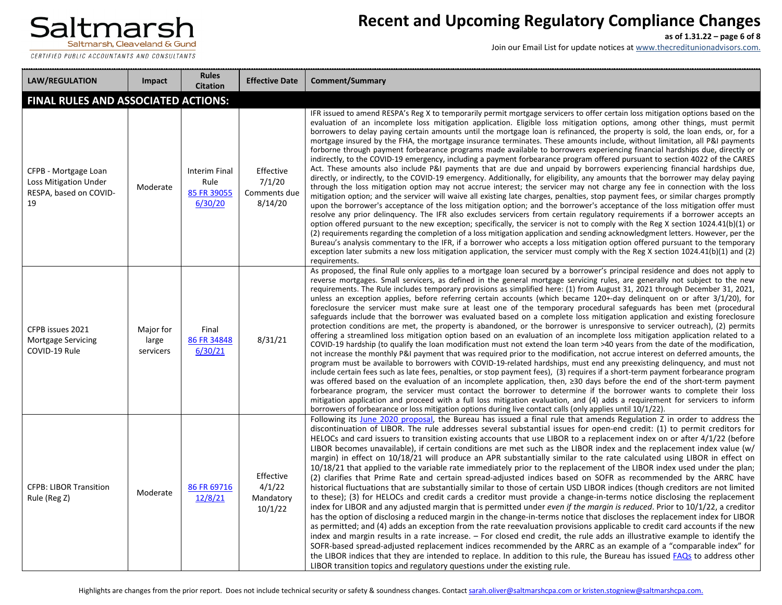CERTIFIED PUBLIC ACCOUNTANTS AND CONSULTANTS

### **Recent and Upcoming Regulatory Compliance Changes**

**as of 1.31.22 – page 6 of 8**

| <b>LAW/REGULATION</b>                                                                | Impact                          | <b>Rules</b><br><b>Citation</b>                        | <b>Effective Date</b>                          | <b>Comment/Summary</b>                                                                                                                                                                                                                                                                                                                                                                                                                                                                                                                                                                                                                                                                                                                                                                                                                                                                                                                                                                                                                                                                                                                                                                                                                                                                                                                                                                                                                                                                                                                                                                                                                                                                                                                                                                                                                                                                                                                                                                                                                                                                                                                                               |
|--------------------------------------------------------------------------------------|---------------------------------|--------------------------------------------------------|------------------------------------------------|----------------------------------------------------------------------------------------------------------------------------------------------------------------------------------------------------------------------------------------------------------------------------------------------------------------------------------------------------------------------------------------------------------------------------------------------------------------------------------------------------------------------------------------------------------------------------------------------------------------------------------------------------------------------------------------------------------------------------------------------------------------------------------------------------------------------------------------------------------------------------------------------------------------------------------------------------------------------------------------------------------------------------------------------------------------------------------------------------------------------------------------------------------------------------------------------------------------------------------------------------------------------------------------------------------------------------------------------------------------------------------------------------------------------------------------------------------------------------------------------------------------------------------------------------------------------------------------------------------------------------------------------------------------------------------------------------------------------------------------------------------------------------------------------------------------------------------------------------------------------------------------------------------------------------------------------------------------------------------------------------------------------------------------------------------------------------------------------------------------------------------------------------------------------|
| <b>FINAL RULES AND ASSOCIATED ACTIONS:</b>                                           |                                 |                                                        |                                                |                                                                                                                                                                                                                                                                                                                                                                                                                                                                                                                                                                                                                                                                                                                                                                                                                                                                                                                                                                                                                                                                                                                                                                                                                                                                                                                                                                                                                                                                                                                                                                                                                                                                                                                                                                                                                                                                                                                                                                                                                                                                                                                                                                      |
| CFPB - Mortgage Loan<br><b>Loss Mitigation Under</b><br>RESPA, based on COVID-<br>19 | Moderate                        | <b>Interim Final</b><br>Rule<br>85 FR 39055<br>6/30/20 | Effective<br>7/1/20<br>Comments due<br>8/14/20 | IFR issued to amend RESPA's Reg X to temporarily permit mortgage servicers to offer certain loss mitigation options based on the<br>evaluation of an incomplete loss mitigation application. Eligible loss mitigation options, among other things, must permit<br>borrowers to delay paying certain amounts until the mortgage loan is refinanced, the property is sold, the loan ends, or, for a<br>mortgage insured by the FHA, the mortgage insurance terminates. These amounts include, without limitation, all P&I payments<br>forborne through payment forbearance programs made available to borrowers experiencing financial hardships due, directly or<br>indirectly, to the COVID-19 emergency, including a payment forbearance program offered pursuant to section 4022 of the CARES<br>Act. These amounts also include P&I payments that are due and unpaid by borrowers experiencing financial hardships due,<br>directly, or indirectly, to the COVID-19 emergency. Additionally, for eligibility, any amounts that the borrower may delay paying<br>through the loss mitigation option may not accrue interest; the servicer may not charge any fee in connection with the loss<br>mitigation option; and the servicer will waive all existing late charges, penalties, stop payment fees, or similar charges promptly<br>upon the borrower's acceptance of the loss mitigation option; and the borrower's acceptance of the loss mitigation offer must<br>resolve any prior delinguency. The IFR also excludes servicers from certain regulatory requirements if a borrower accepts an<br>option offered pursuant to the new exception; specifically, the servicer is not to comply with the Reg X section 1024.41(b)(1) or<br>(2) requirements regarding the completion of a loss mitigation application and sending acknowledgment letters. However, per the<br>Bureau's analysis commentary to the IFR, if a borrower who accepts a loss mitigation option offered pursuant to the temporary<br>exception later submits a new loss mitigation application, the servicer must comply with the Reg X section 1024.41(b)(1) and (2)<br>requirements. |
| CFPB issues 2021<br><b>Mortgage Servicing</b><br>COVID-19 Rule                       | Major for<br>large<br>servicers | Final<br>86 FR 34848<br>6/30/21                        | 8/31/21                                        | As proposed, the final Rule only applies to a mortgage loan secured by a borrower's principal residence and does not apply to<br>reverse mortgages. Small servicers, as defined in the general mortgage servicing rules, are generally not subject to the new<br>requirements. The Rule includes temporary provisions as simplified here: (1) from August 31, 2021 through December 31, 2021,<br>unless an exception applies, before referring certain accounts (which became 120+-day delinguent on or after 3/1/20), for<br>foreclosure the servicer must make sure at least one of the temporary procedural safeguards has been met (procedural<br>safeguards include that the borrower was evaluated based on a complete loss mitigation application and existing foreclosure<br>protection conditions are met, the property is abandoned, or the borrower is unresponsive to servicer outreach), (2) permits<br>offering a streamlined loss mitigation option based on an evaluation of an incomplete loss mitigation application related to a<br>COVID-19 hardship (to qualify the loan modification must not extend the loan term >40 years from the date of the modification,<br>not increase the monthly P&I payment that was required prior to the modification, not accrue interest on deferred amounts, the<br>program must be available to borrowers with COVID-19-related hardships, must end any preexisting delinquency, and must not<br>include certain fees such as late fees, penalties, or stop payment fees), (3) requires if a short-term payment forbearance program<br>was offered based on the evaluation of an incomplete application, then, ≥30 days before the end of the short-term payment<br>forbearance program, the servicer must contact the borrower to determine if the borrower wants to complete their loss<br>mitigation application and proceed with a full loss mitigation evaluation, and (4) adds a requirement for servicers to inform<br>borrowers of forbearance or loss mitigation options during live contact calls (only applies until $10/1/22$ ).                                                                 |
| <b>CFPB: LIBOR Transition</b><br>Rule (Reg Z)                                        | Moderate                        | 86 FR 69716<br>12/8/21                                 | Effective<br>4/1/22<br>Mandatory<br>10/1/22    | Following its June 2020 proposal, the Bureau has issued a final rule that amends Regulation Z in order to address the<br>discontinuation of LIBOR. The rule addresses several substantial issues for open-end credit: (1) to permit creditors for<br>HELOCs and card issuers to transition existing accounts that use LIBOR to a replacement index on or after 4/1/22 (before<br>LIBOR becomes unavailable), if certain conditions are met such as the LIBOR index and the replacement index value (w/<br>margin) in effect on 10/18/21 will produce an APR substantially similar to the rate calculated using LIBOR in effect on<br>10/18/21 that applied to the variable rate immediately prior to the replacement of the LIBOR index used under the plan;<br>(2) clarifies that Prime Rate and certain spread-adjusted indices based on SOFR as recommended by the ARRC have<br>historical fluctuations that are substantially similar to those of certain USD LIBOR indices (though creditors are not limited<br>to these); (3) for HELOCs and credit cards a creditor must provide a change-in-terms notice disclosing the replacement<br>index for LIBOR and any adjusted margin that is permitted under even if the margin is reduced. Prior to 10/1/22, a creditor<br>has the option of disclosing a reduced margin in the change-in-terms notice that discloses the replacement index for LIBOR<br>as permitted; and (4) adds an exception from the rate reevaluation provisions applicable to credit card accounts if the new<br>index and margin results in a rate increase. - For closed end credit, the rule adds an illustrative example to identify the<br>SOFR-based spread-adjusted replacement indices recommended by the ARRC as an example of a "comparable index" for<br>the LIBOR indices that they are intended to replace. In addition to this rule, the Bureau has issued FAQs to address other<br>LIBOR transition topics and regulatory questions under the existing rule.                                                                                                                                                                |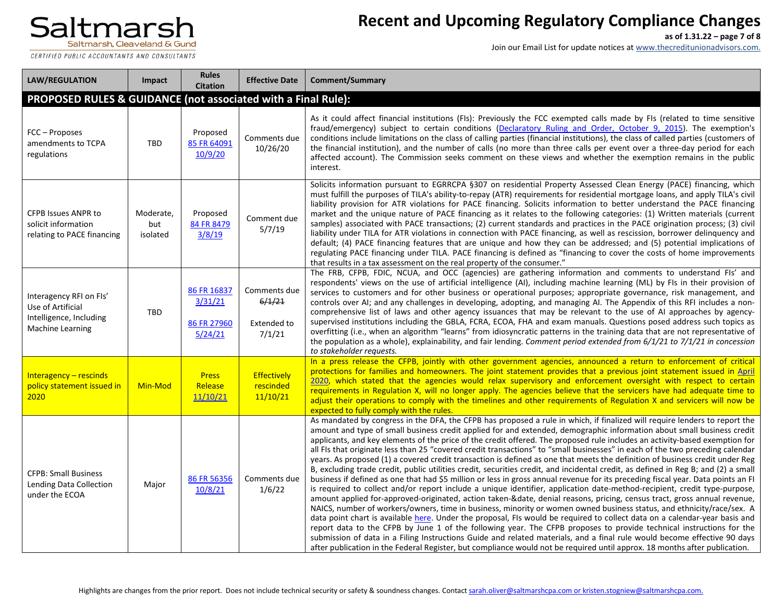CERTIFIED PUBLIC ACCOUNTANTS AND CONSULTANTS

# **Recent and Upcoming Regulatory Compliance Changes**

**as of 1.31.22 – page 7 of 8**

| <b>LAW/REGULATION</b>                                                                              | Impact                       | <b>Rules</b><br><b>Citation</b>                  | <b>Effective Date</b>                                  | <b>Comment/Summary</b>                                                                                                                                                                                                                                                                                                                                                                                                                                                                                                                                                                                                                                                                                                                                                                                                                                                                                                                                                                                                                                                                                                                                                                                                                                                                                                                                                                                                                                                                                                                                                                                                                                                                                                                                                                                                           |
|----------------------------------------------------------------------------------------------------|------------------------------|--------------------------------------------------|--------------------------------------------------------|----------------------------------------------------------------------------------------------------------------------------------------------------------------------------------------------------------------------------------------------------------------------------------------------------------------------------------------------------------------------------------------------------------------------------------------------------------------------------------------------------------------------------------------------------------------------------------------------------------------------------------------------------------------------------------------------------------------------------------------------------------------------------------------------------------------------------------------------------------------------------------------------------------------------------------------------------------------------------------------------------------------------------------------------------------------------------------------------------------------------------------------------------------------------------------------------------------------------------------------------------------------------------------------------------------------------------------------------------------------------------------------------------------------------------------------------------------------------------------------------------------------------------------------------------------------------------------------------------------------------------------------------------------------------------------------------------------------------------------------------------------------------------------------------------------------------------------|
| PROPOSED RULES & GUIDANCE (not associated with a Final Rule):                                      |                              |                                                  |                                                        |                                                                                                                                                                                                                                                                                                                                                                                                                                                                                                                                                                                                                                                                                                                                                                                                                                                                                                                                                                                                                                                                                                                                                                                                                                                                                                                                                                                                                                                                                                                                                                                                                                                                                                                                                                                                                                  |
| FCC - Proposes<br>amendments to TCPA<br>regulations                                                | <b>TBD</b>                   | Proposed<br>85 FR 64091<br>10/9/20               | Comments due<br>10/26/20                               | As it could affect financial institutions (FIs): Previously the FCC exempted calls made by FIs (related to time sensitive<br>fraud/emergency) subject to certain conditions (Declaratory Ruling and Order, October 9, 2015). The exemption's<br>conditions include limitations on the class of calling parties (financial institutions), the class of called parties (customers of<br>the financial institution), and the number of calls (no more than three calls per event over a three-day period for each<br>affected account). The Commission seeks comment on these views and whether the exemption remains in the public<br>interest.                                                                                                                                                                                                                                                                                                                                                                                                                                                                                                                                                                                                                                                                                                                                                                                                                                                                                                                                                                                                                                                                                                                                                                                    |
| <b>CFPB Issues ANPR to</b><br>solicit information<br>relating to PACE financing                    | Moderate,<br>but<br>isolated | Proposed<br>84 FR 8479<br>3/8/19                 | Comment due<br>5/7/19                                  | Solicits information pursuant to EGRRCPA §307 on residential Property Assessed Clean Energy (PACE) financing, which<br>must fulfill the purposes of TILA's ability-to-repay (ATR) requirements for residential mortgage loans, and apply TILA's civil<br>liability provision for ATR violations for PACE financing. Solicits information to better understand the PACE financing<br>market and the unique nature of PACE financing as it relates to the following categories: (1) Written materials (current<br>samples) associated with PACE transactions; (2) current standards and practices in the PACE origination process; (3) civil<br>liability under TILA for ATR violations in connection with PACE financing, as well as rescission, borrower delinquency and<br>default; (4) PACE financing features that are unique and how they can be addressed; and (5) potential implications of<br>regulating PACE financing under TILA. PACE financing is defined as "financing to cover the costs of home improvements<br>that results in a tax assessment on the real property of the consumer."                                                                                                                                                                                                                                                                                                                                                                                                                                                                                                                                                                                                                                                                                                                            |
| Interagency RFI on FIs'<br>Use of Artificial<br>Intelligence, Including<br><b>Machine Learning</b> | TBD                          | 86 FR 16837<br>3/31/21<br>86 FR 27960<br>5/24/21 | Comments due<br>6/1/21<br><b>Extended to</b><br>7/1/21 | The FRB, CFPB, FDIC, NCUA, and OCC (agencies) are gathering information and comments to understand FIs' and<br>respondents' views on the use of artificial intelligence (AI), including machine learning (ML) by FIs in their provision of<br>services to customers and for other business or operational purposes; appropriate governance, risk management, and<br>controls over AI; and any challenges in developing, adopting, and managing AI. The Appendix of this RFI includes a non-<br>comprehensive list of laws and other agency issuances that may be relevant to the use of AI approaches by agency-<br>supervised institutions including the GBLA, FCRA, ECOA, FHA and exam manuals. Questions posed address such topics as<br>overfitting (i.e., when an algorithm "learns" from idiosyncratic patterns in the training data that are not representative of<br>the population as a whole), explainability, and fair lending. Comment period extended from 6/1/21 to 7/1/21 in concession<br>to stakeholder requests.                                                                                                                                                                                                                                                                                                                                                                                                                                                                                                                                                                                                                                                                                                                                                                                               |
| Interagency $-$ rescinds<br>policy statement issued in<br>2020                                     | Min-Mod                      | <b>Press</b><br>Release<br>11/10/21              | Effectively<br>rescinded<br>11/10/21                   | In a press release the CFPB, jointly with other government agencies, announced a return to enforcement of critical<br>protections for families and homeowners. The joint statement provides that a previous joint statement issued in April<br>2020, which stated that the agencies would relax supervisory and enforcement oversight with respect to certain<br>requirements in Regulation X, will no longer apply. The agencies believe that the servicers have had adequate time to<br>adjust their operations to comply with the timelines and other requirements of Regulation X and servicers will now be<br>expected to fully comply with the rules.                                                                                                                                                                                                                                                                                                                                                                                                                                                                                                                                                                                                                                                                                                                                                                                                                                                                                                                                                                                                                                                                                                                                                                      |
| <b>CFPB: Small Business</b><br>Lending Data Collection<br>under the ECOA                           | Major                        | 86 FR 56356<br>10/8/21                           | Comments due<br>1/6/22                                 | As mandated by congress in the DFA, the CFPB has proposed a rule in which, if finalized will require lenders to report the<br>amount and type of small business credit applied for and extended, demographic information about small business credit<br>applicants, and key elements of the price of the credit offered. The proposed rule includes an activity-based exemption for<br>all FIs that originate less than 25 "covered credit transactions" to "small businesses" in each of the two preceding calendar<br>years. As proposed (1) a covered credit transaction is defined as one that meets the definition of business credit under Reg<br>B, excluding trade credit, public utilities credit, securities credit, and incidental credit, as defined in Reg B; and (2) a small<br>business if defined as one that had \$5 million or less in gross annual revenue for its preceding fiscal year. Data points an FI<br>is required to collect and/or report include a unique identifier, application date-method-recipient, credit type-purpose,<br>amount applied for-approved-originated, action taken-&date, denial reasons, pricing, census tract, gross annual revenue,<br>NAICS, number of workers/owners, time in business, minority or women owned business status, and ethnicity/race/sex. A<br>data point chart is available here. Under the proposal, FIs would be required to collect data on a calendar-year basis and<br>report data to the CFPB by June 1 of the following year. The CFPB proposes to provide technical instructions for the<br>submission of data in a Filing Instructions Guide and related materials, and a final rule would become effective 90 days<br>after publication in the Federal Register, but compliance would not be required until approx. 18 months after publication. |